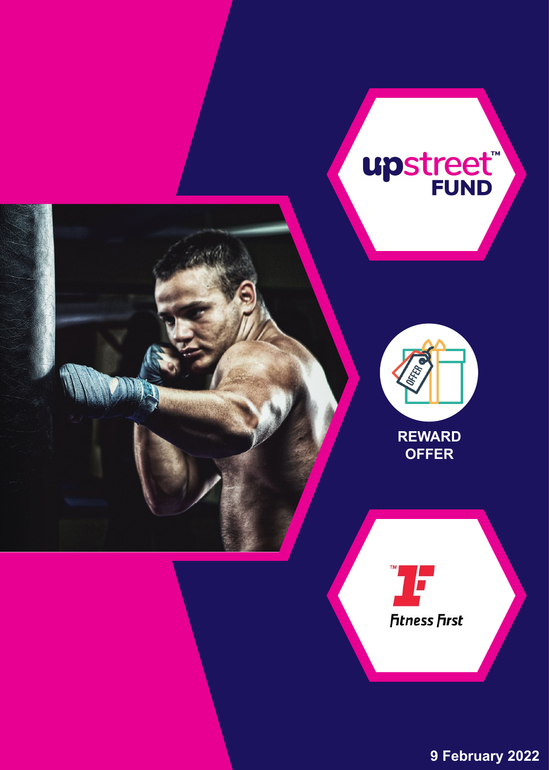

**9 February 2022**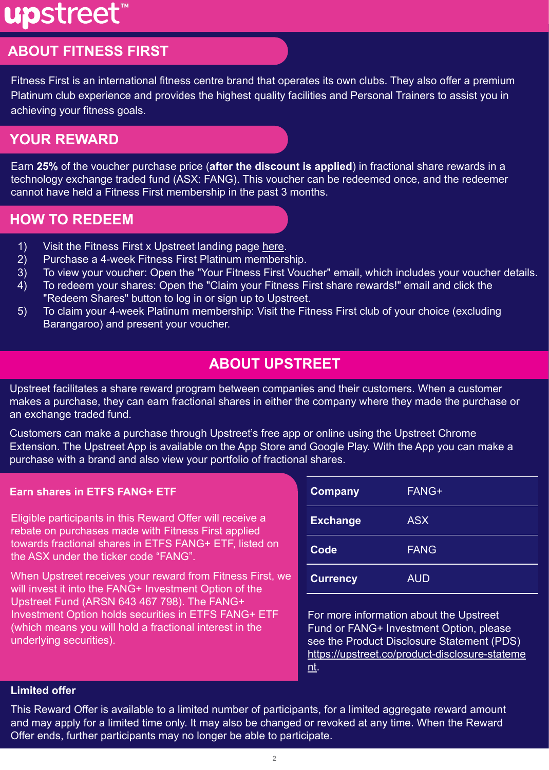# upstreet<sup>®</sup>

# **ABOUT FITNESS FIRST**

Fitness First is an international fitness centre brand that operates its own clubs. They also offer a premium Platinum club experience and provides the highest quality facilities and Personal Trainers to assist you in achieving your fitness goals.

## **YOUR REWARD**

Earn **25%** of the voucher purchase price (**after the discount is applied**) in fractional share rewards in a technology exchange traded fund (ASX: FANG). This voucher can be redeemed once, and the redeemer cannot have held a Fitness First membership in the past 3 months.

## **HOW TO REDEEM**

- 1) Visit the Fitness First x Upstreet landing page [here.](https://fitnessfirst.upstreet.co/)
- 2) Purchase a 4-week Fitness First Platinum membership.
- 3) To view your voucher: Open the "Your Fitness First Voucher" email, which includes your voucher details.
- 4) To redeem your shares: Open the "Claim your Fitness First share rewards!" email and click the "Redeem Shares" button to log in or sign up to Upstreet.
- 5) To claim your 4-week Platinum membership: Visit the Fitness First club of your choice (excluding Barangaroo) and present your voucher.

## **ABOUT UPSTREET**

Upstreet facilitates a share reward program between companies and their customers. When a customer makes a purchase, they can earn fractional shares in either the company where they made the purchase or an exchange traded fund.

Customers can make a purchase through Upstreet's free app or online using the Upstreet Chrome Extension. The Upstreet App is available on the App Store and Google Play. With the App you can make a purchase with a brand and also view your portfolio of fractional shares.

## **Earn shares in ETFS FANG+ ETF**

Eligible participants in this Reward Offer will receive a rebate on purchases made with Fitness First applied towards fractional shares in ETFS FANG+ ETF, listed on the ASX under the ticker code "FANG".

When Upstreet receives your reward from Fitness First, we will invest it into the FANG+ Investment Option of the Upstreet Fund (ARSN 643 467 798). The FANG+ Investment Option holds securities in ETFS FANG+ ETF (which means you will hold a fractional interest in the underlying securities).

| <b>Company</b>  | FANG+       |
|-----------------|-------------|
| <b>Exchange</b> | <b>ASX</b>  |
| Code            | <b>FANG</b> |
| <b>Currency</b> | <b>AUD</b>  |

For more information about the Upstreet Fund or FANG+ Investment Option, please see the Product Disclosure Statement (PDS) [https://upstreet.co/product-disclosure-stateme](https://storage.googleapis.com/publicdocs.upstreet.co/2021-04-Upstreet-Product-Disclosure-Statement-05.pdf) [nt](https://storage.googleapis.com/publicdocs.upstreet.co/2021-04-Upstreet-Product-Disclosure-Statement-05.pdf).

## **Limited offer**

This Reward Offer is available to a limited number of participants, for a limited aggregate reward amount and may apply for a limited time only. It may also be changed or revoked at any time. When the Reward Offer ends, further participants may no longer be able to participate.